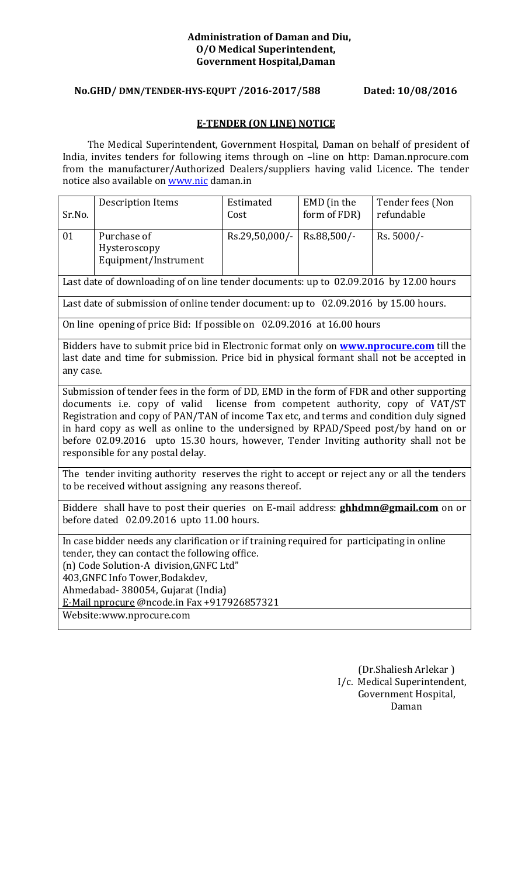#### **Administration of Daman and Diu, O/O Medical Superintendent, Government Hospital,Daman**

### **No.GHD/ DMN/TENDER-HYS-EQUPT /2016-2017/588 Dated: 10/08/2016**

#### **E-TENDER (ON LINE) NOTICE**

 The Medical Superintendent, Government Hospital, Daman on behalf of president of India, invites tenders for following items through on –line on http: Daman.nprocure.com from the manufacturer/Authorized Dealers/suppliers having valid Licence. The tender notice also available on www.nic daman.in

| Sr.No.                                                                                                                                                                                                                                                                                                                                                                                                                                                                                 | <b>Description Items</b>                                                                                                                                                                    | Estimated<br>Cost | EMD (in the<br>form of FDR) | Tender fees (Non<br>refundable |
|----------------------------------------------------------------------------------------------------------------------------------------------------------------------------------------------------------------------------------------------------------------------------------------------------------------------------------------------------------------------------------------------------------------------------------------------------------------------------------------|---------------------------------------------------------------------------------------------------------------------------------------------------------------------------------------------|-------------------|-----------------------------|--------------------------------|
| 01                                                                                                                                                                                                                                                                                                                                                                                                                                                                                     | Purchase of<br>Hysteroscopy<br>Equipment/Instrument                                                                                                                                         | Rs.29,50,000/-    | Rs.88,500/-                 | Rs. 5000/-                     |
|                                                                                                                                                                                                                                                                                                                                                                                                                                                                                        | Last date of downloading of on line tender documents: up to 02.09.2016 by 12.00 hours                                                                                                       |                   |                             |                                |
|                                                                                                                                                                                                                                                                                                                                                                                                                                                                                        | Last date of submission of online tender document: up to 02.09.2016 by 15.00 hours.                                                                                                         |                   |                             |                                |
|                                                                                                                                                                                                                                                                                                                                                                                                                                                                                        | On line opening of price Bid: If possible on 02.09.2016 at 16.00 hours                                                                                                                      |                   |                             |                                |
| any case.                                                                                                                                                                                                                                                                                                                                                                                                                                                                              | Bidders have to submit price bid in Electronic format only on <b>www.nprocure.com</b> till the<br>last date and time for submission. Price bid in physical formant shall not be accepted in |                   |                             |                                |
| Submission of tender fees in the form of DD, EMD in the form of FDR and other supporting<br>documents i.e. copy of valid license from competent authority, copy of VAT/ST<br>Registration and copy of PAN/TAN of income Tax etc, and terms and condition duly signed<br>in hard copy as well as online to the undersigned by RPAD/Speed post/by hand on or<br>before 02.09.2016 upto 15.30 hours, however, Tender Inviting authority shall not be<br>responsible for any postal delay. |                                                                                                                                                                                             |                   |                             |                                |
|                                                                                                                                                                                                                                                                                                                                                                                                                                                                                        | The tender inviting authority reserves the right to accept or reject any or all the tenders<br>to be received without assigning any reasons thereof.                                        |                   |                             |                                |
| Biddere shall have to post their queries on E-mail address: <b>ghhdmn@gmail.com</b> on or<br>before dated 02.09.2016 upto 11.00 hours.                                                                                                                                                                                                                                                                                                                                                 |                                                                                                                                                                                             |                   |                             |                                |
| In case bidder needs any clarification or if training required for participating in online<br>tender, they can contact the following office.<br>(n) Code Solution-A division, GNFC Ltd"<br>403, GNFC Info Tower, Bodakdev,<br>Ahmedabad- 380054, Gujarat (India)<br>E-Mail nprocure @ncode.in Fax +917926857321<br>Website:www.nprocure.com                                                                                                                                            |                                                                                                                                                                                             |                   |                             |                                |
|                                                                                                                                                                                                                                                                                                                                                                                                                                                                                        |                                                                                                                                                                                             |                   |                             |                                |

(Dr.Shaliesh Arlekar ) I/c. Medical Superintendent, Government Hospital, Daman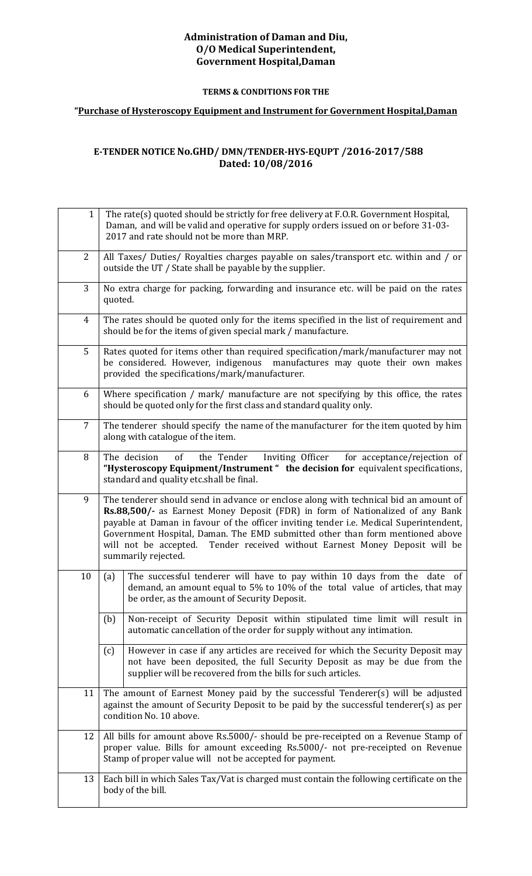#### **Administration of Daman and Diu, O/O Medical Superintendent, Government Hospital,Daman**

#### **TERMS & CONDITIONS FOR THE**

#### **"Purchase of Hysteroscopy Equipment and Instrument for Government Hospital,Daman**

#### **E-TENDER NOTICE No.GHD/ DMN/TENDER-HYS-EQUPT /2016-2017/588 Dated: 10/08/2016**

| $\mathbf{1}$   | The rate(s) quoted should be strictly for free delivery at F.O.R. Government Hospital,<br>Daman, and will be valid and operative for supply orders issued on or before 31-03-<br>2017 and rate should not be more than MRP.                                                                                                                                                                                                                             |  |  |
|----------------|---------------------------------------------------------------------------------------------------------------------------------------------------------------------------------------------------------------------------------------------------------------------------------------------------------------------------------------------------------------------------------------------------------------------------------------------------------|--|--|
| 2              | All Taxes/ Duties/ Royalties charges payable on sales/transport etc. within and / or<br>outside the UT / State shall be payable by the supplier.                                                                                                                                                                                                                                                                                                        |  |  |
| 3              | No extra charge for packing, forwarding and insurance etc. will be paid on the rates<br>quoted.                                                                                                                                                                                                                                                                                                                                                         |  |  |
| 4              | The rates should be quoted only for the items specified in the list of requirement and<br>should be for the items of given special mark / manufacture.                                                                                                                                                                                                                                                                                                  |  |  |
| 5              | Rates quoted for items other than required specification/mark/manufacturer may not<br>be considered. However, indigenous manufactures may quote their own makes<br>provided the specifications/mark/manufacturer.                                                                                                                                                                                                                                       |  |  |
| 6              | Where specification / mark/ manufacture are not specifying by this office, the rates<br>should be quoted only for the first class and standard quality only.                                                                                                                                                                                                                                                                                            |  |  |
| $\overline{7}$ | The tenderer should specify the name of the manufacturer for the item quoted by him<br>along with catalogue of the item.                                                                                                                                                                                                                                                                                                                                |  |  |
| 8              | of<br>the Tender<br>Inviting Officer<br>The decision<br>for acceptance/rejection of<br>"Hysteroscopy Equipment/Instrument" the decision for equivalent specifications,<br>standard and quality etc.shall be final.                                                                                                                                                                                                                                      |  |  |
| 9              | The tenderer should send in advance or enclose along with technical bid an amount of<br>Rs.88,500/- as Earnest Money Deposit (FDR) in form of Nationalized of any Bank<br>payable at Daman in favour of the officer inviting tender i.e. Medical Superintendent,<br>Government Hospital, Daman. The EMD submitted other than form mentioned above<br>will not be accepted. Tender received without Earnest Money Deposit will be<br>summarily rejected. |  |  |
| 10             | The successful tenderer will have to pay within 10 days from the date<br>(a)<br>of<br>demand, an amount equal to 5% to 10% of the total value of articles, that may<br>be order, as the amount of Security Deposit.                                                                                                                                                                                                                                     |  |  |
|                | Non-receipt of Security Deposit within stipulated time limit will result in<br>(b)<br>automatic cancellation of the order for supply without any intimation.                                                                                                                                                                                                                                                                                            |  |  |
|                | However in case if any articles are received for which the Security Deposit may<br>(c)<br>not have been deposited, the full Security Deposit as may be due from the<br>supplier will be recovered from the bills for such articles.                                                                                                                                                                                                                     |  |  |
| 11             | The amount of Earnest Money paid by the successful Tenderer(s) will be adjusted<br>against the amount of Security Deposit to be paid by the successful tenderer(s) as per<br>condition No. 10 above.                                                                                                                                                                                                                                                    |  |  |
| 12             | All bills for amount above Rs.5000/- should be pre-receipted on a Revenue Stamp of<br>proper value. Bills for amount exceeding Rs.5000/- not pre-receipted on Revenue<br>Stamp of proper value will not be accepted for payment.                                                                                                                                                                                                                        |  |  |
| 13             | Each bill in which Sales Tax/Vat is charged must contain the following certificate on the<br>body of the bill.                                                                                                                                                                                                                                                                                                                                          |  |  |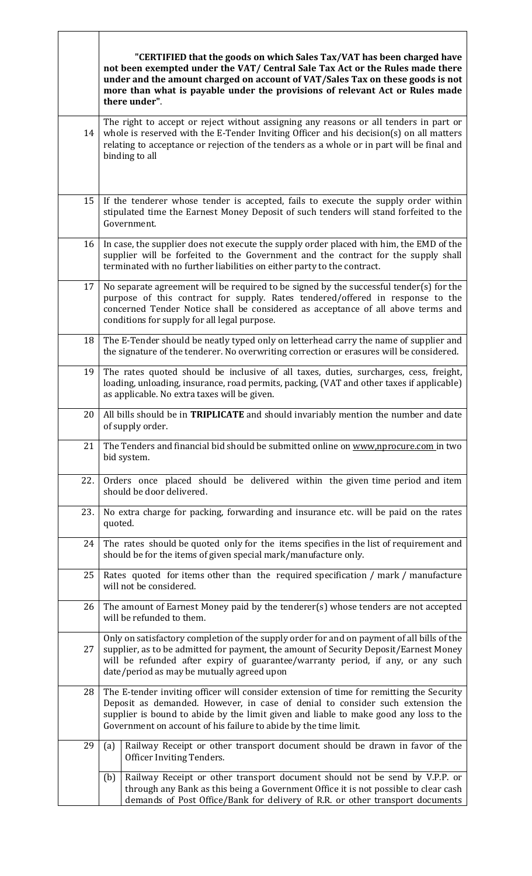|     | "CERTIFIED that the goods on which Sales Tax/VAT has been charged have<br>not been exempted under the VAT/ Central Sale Tax Act or the Rules made there<br>under and the amount charged on account of VAT/Sales Tax on these goods is not<br>more than what is payable under the provisions of relevant Act or Rules made<br>there under". |
|-----|--------------------------------------------------------------------------------------------------------------------------------------------------------------------------------------------------------------------------------------------------------------------------------------------------------------------------------------------|
| 14  | The right to accept or reject without assigning any reasons or all tenders in part or<br>whole is reserved with the E-Tender Inviting Officer and his decision(s) on all matters<br>relating to acceptance or rejection of the tenders as a whole or in part will be final and<br>binding to all                                           |
| 15  | If the tenderer whose tender is accepted, fails to execute the supply order within<br>stipulated time the Earnest Money Deposit of such tenders will stand forfeited to the<br>Government.                                                                                                                                                 |
| 16  | In case, the supplier does not execute the supply order placed with him, the EMD of the<br>supplier will be forfeited to the Government and the contract for the supply shall<br>terminated with no further liabilities on either party to the contract.                                                                                   |
| 17  | No separate agreement will be required to be signed by the successful tender(s) for the<br>purpose of this contract for supply. Rates tendered/offered in response to the<br>concerned Tender Notice shall be considered as acceptance of all above terms and<br>conditions for supply for all legal purpose.                              |
| 18  | The E-Tender should be neatly typed only on letterhead carry the name of supplier and<br>the signature of the tenderer. No overwriting correction or erasures will be considered.                                                                                                                                                          |
| 19  | The rates quoted should be inclusive of all taxes, duties, surcharges, cess, freight,<br>loading, unloading, insurance, road permits, packing, (VAT and other taxes if applicable)<br>as applicable. No extra taxes will be given.                                                                                                         |
| 20  | All bills should be in <b>TRIPLICATE</b> and should invariably mention the number and date<br>of supply order.                                                                                                                                                                                                                             |
| 21  | The Tenders and financial bid should be submitted online on www,nprocure.com in two<br>bid system.                                                                                                                                                                                                                                         |
| 22. | Orders once placed should be delivered within the given time period and item<br>should be door delivered.                                                                                                                                                                                                                                  |
| 23. | No extra charge for packing, forwarding and insurance etc. will be paid on the rates<br>quoted.                                                                                                                                                                                                                                            |
| 24  | The rates should be quoted only for the items specifies in the list of requirement and<br>should be for the items of given special mark/manufacture only.                                                                                                                                                                                  |
| 25  | Rates quoted for items other than the required specification / mark / manufacture<br>will not be considered.                                                                                                                                                                                                                               |
| 26  | The amount of Earnest Money paid by the tenderer(s) whose tenders are not accepted<br>will be refunded to them.                                                                                                                                                                                                                            |
| 27  | Only on satisfactory completion of the supply order for and on payment of all bills of the<br>supplier, as to be admitted for payment, the amount of Security Deposit/Earnest Money<br>will be refunded after expiry of guarantee/warranty period, if any, or any such<br>date/period as may be mutually agreed upon                       |
| 28  | The E-tender inviting officer will consider extension of time for remitting the Security<br>Deposit as demanded. However, in case of denial to consider such extension the<br>supplier is bound to abide by the limit given and liable to make good any loss to the<br>Government on account of his failure to abide by the time limit.    |
| 29  | Railway Receipt or other transport document should be drawn in favor of the<br>(a)<br>Officer Inviting Tenders.                                                                                                                                                                                                                            |
|     | Railway Receipt or other transport document should not be send by V.P.P. or<br>(b)<br>through any Bank as this being a Government Office it is not possible to clear cash<br>demands of Post Office/Bank for delivery of R.R. or other transport documents                                                                                 |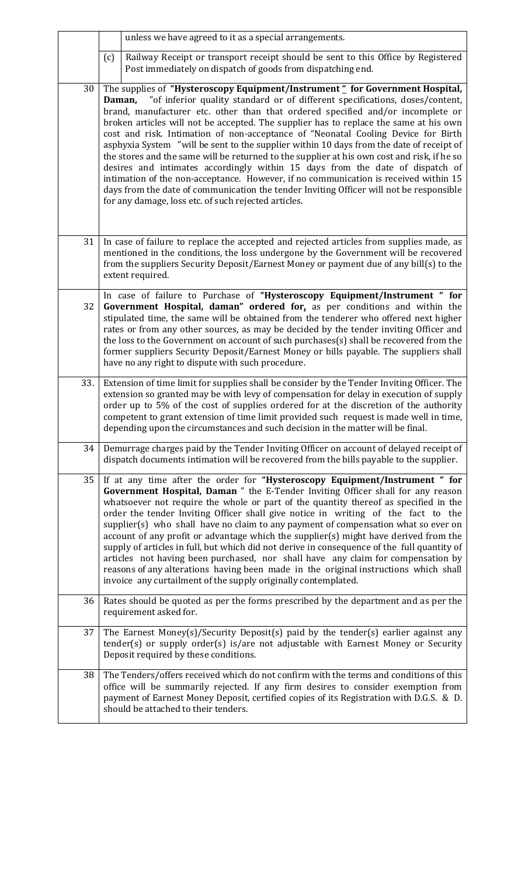|     |     | unless we have agreed to it as a special arrangements.                                                                                                                                                                                                                                                                                                                                                                                                                                                                                                                                                                                                                                                                                                                                                                                                                                                                                                         |
|-----|-----|----------------------------------------------------------------------------------------------------------------------------------------------------------------------------------------------------------------------------------------------------------------------------------------------------------------------------------------------------------------------------------------------------------------------------------------------------------------------------------------------------------------------------------------------------------------------------------------------------------------------------------------------------------------------------------------------------------------------------------------------------------------------------------------------------------------------------------------------------------------------------------------------------------------------------------------------------------------|
|     | (c) | Railway Receipt or transport receipt should be sent to this Office by Registered<br>Post immediately on dispatch of goods from dispatching end.                                                                                                                                                                                                                                                                                                                                                                                                                                                                                                                                                                                                                                                                                                                                                                                                                |
| 30  |     | The supplies of "Hysteroscopy Equipment/Instrument" for Government Hospital,<br>"of inferior quality standard or of different specifications, doses/content,<br>Daman,<br>brand, manufacturer etc. other than that ordered specified and/or incomplete or<br>broken articles will not be accepted. The supplier has to replace the same at his own<br>cost and risk. Intimation of non-acceptance of "Neonatal Cooling Device for Birth<br>asphyxia System "will be sent to the supplier within 10 days from the date of receipt of<br>the stores and the same will be returned to the supplier at his own cost and risk, if he so<br>desires and intimates accordingly within 15 days from the date of dispatch of<br>intimation of the non-acceptance. However, if no communication is received within 15<br>days from the date of communication the tender Inviting Officer will not be responsible<br>for any damage, loss etc. of such rejected articles. |
| 31  |     | In case of failure to replace the accepted and rejected articles from supplies made, as<br>mentioned in the conditions, the loss undergone by the Government will be recovered<br>from the suppliers Security Deposit/Earnest Money or payment due of any bill(s) to the<br>extent required.                                                                                                                                                                                                                                                                                                                                                                                                                                                                                                                                                                                                                                                                   |
| 32  |     | In case of failure to Purchase of "Hysteroscopy Equipment/Instrument " for<br>Government Hospital, daman" ordered for, as per conditions and within the<br>stipulated time, the same will be obtained from the tenderer who offered next higher<br>rates or from any other sources, as may be decided by the tender inviting Officer and<br>the loss to the Government on account of such purchases(s) shall be recovered from the<br>former suppliers Security Deposit/Earnest Money or bills payable. The suppliers shall<br>have no any right to dispute with such procedure.                                                                                                                                                                                                                                                                                                                                                                               |
| 33. |     | Extension of time limit for supplies shall be consider by the Tender Inviting Officer. The<br>extension so granted may be with levy of compensation for delay in execution of supply<br>order up to 5% of the cost of supplies ordered for at the discretion of the authority<br>competent to grant extension of time limit provided such request is made well in time,<br>depending upon the circumstances and such decision in the matter will be final.                                                                                                                                                                                                                                                                                                                                                                                                                                                                                                     |
| 34  |     | Demurrage charges paid by the Tender Inviting Officer on account of delayed receipt of<br>dispatch documents intimation will be recovered from the bills payable to the supplier.                                                                                                                                                                                                                                                                                                                                                                                                                                                                                                                                                                                                                                                                                                                                                                              |
| 35  |     | If at any time after the order for "Hysteroscopy Equipment/Instrument " for<br>Government Hospital, Daman " the E-Tender Inviting Officer shall for any reason<br>whatsoever not require the whole or part of the quantity thereof as specified in the<br>order the tender Inviting Officer shall give notice in writing of the fact to the<br>supplier(s) who shall have no claim to any payment of compensation what so ever on<br>account of any profit or advantage which the supplier(s) might have derived from the<br>supply of articles in full, but which did not derive in consequence of the full quantity of<br>articles not having been purchased, nor shall have any claim for compensation by<br>reasons of any alterations having been made in the original instructions which shall<br>invoice any curtailment of the supply originally contemplated.                                                                                         |
| 36  |     | Rates should be quoted as per the forms prescribed by the department and as per the<br>requirement asked for.                                                                                                                                                                                                                                                                                                                                                                                                                                                                                                                                                                                                                                                                                                                                                                                                                                                  |
| 37  |     | The Earnest Money(s)/Security Deposit(s) paid by the tender(s) earlier against any<br>tender(s) or supply order(s) is/are not adjustable with Earnest Money or Security<br>Deposit required by these conditions.                                                                                                                                                                                                                                                                                                                                                                                                                                                                                                                                                                                                                                                                                                                                               |
| 38  |     | The Tenders/offers received which do not confirm with the terms and conditions of this<br>office will be summarily rejected. If any firm desires to consider exemption from<br>payment of Earnest Money Deposit, certified copies of its Registration with D.G.S. & D.<br>should be attached to their tenders.                                                                                                                                                                                                                                                                                                                                                                                                                                                                                                                                                                                                                                                 |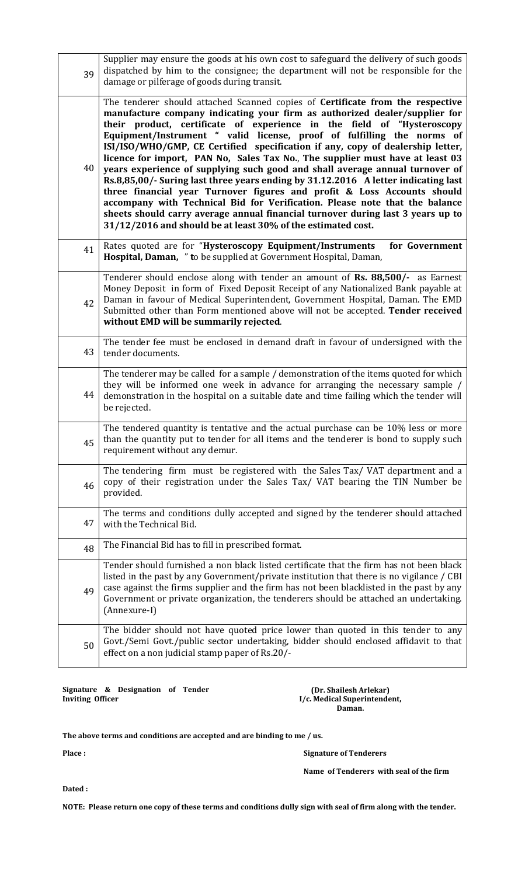| 39 | Supplier may ensure the goods at his own cost to safeguard the delivery of such goods<br>dispatched by him to the consignee; the department will not be responsible for the<br>damage or pilferage of goods during transit.                                                                                                                                                                                                                                                                                                                                                                                                                                                                                                                                                                                                                                                                                                                                            |
|----|------------------------------------------------------------------------------------------------------------------------------------------------------------------------------------------------------------------------------------------------------------------------------------------------------------------------------------------------------------------------------------------------------------------------------------------------------------------------------------------------------------------------------------------------------------------------------------------------------------------------------------------------------------------------------------------------------------------------------------------------------------------------------------------------------------------------------------------------------------------------------------------------------------------------------------------------------------------------|
| 40 | The tenderer should attached Scanned copies of Certificate from the respective<br>manufacture company indicating your firm as authorized dealer/supplier for<br>their product, certificate of experience in the field of "Hysteroscopy<br>Equipment/Instrument " valid license, proof of fulfilling the norms of<br>ISI/ISO/WHO/GMP, CE Certified specification if any, copy of dealership letter,<br>licence for import, PAN No, Sales Tax No., The supplier must have at least 03<br>years experience of supplying such good and shall average annual turnover of<br>Rs.8,85,00/- Suring last three years ending by 31.12.2016 A letter indicating last<br>three financial year Turnover figures and profit & Loss Accounts should<br>accompany with Technical Bid for Verification. Please note that the balance<br>sheets should carry average annual financial turnover during last 3 years up to<br>31/12/2016 and should be at least 30% of the estimated cost. |
| 41 | Rates quoted are for "Hysteroscopy Equipment/Instruments<br>for Government<br>Hospital, Daman, " to be supplied at Government Hospital, Daman,                                                                                                                                                                                                                                                                                                                                                                                                                                                                                                                                                                                                                                                                                                                                                                                                                         |
| 42 | Tenderer should enclose along with tender an amount of Rs. 88,500/- as Earnest<br>Money Deposit in form of Fixed Deposit Receipt of any Nationalized Bank payable at<br>Daman in favour of Medical Superintendent, Government Hospital, Daman. The EMD<br>Submitted other than Form mentioned above will not be accepted. Tender received<br>without EMD will be summarily rejected.                                                                                                                                                                                                                                                                                                                                                                                                                                                                                                                                                                                   |
| 43 | The tender fee must be enclosed in demand draft in favour of undersigned with the<br>tender documents.                                                                                                                                                                                                                                                                                                                                                                                                                                                                                                                                                                                                                                                                                                                                                                                                                                                                 |
| 44 | The tenderer may be called for a sample / demonstration of the items quoted for which<br>they will be informed one week in advance for arranging the necessary sample /<br>demonstration in the hospital on a suitable date and time failing which the tender will<br>be rejected.                                                                                                                                                                                                                                                                                                                                                                                                                                                                                                                                                                                                                                                                                     |
| 45 | The tendered quantity is tentative and the actual purchase can be 10% less or more<br>than the quantity put to tender for all items and the tenderer is bond to supply such<br>requirement without any demur.                                                                                                                                                                                                                                                                                                                                                                                                                                                                                                                                                                                                                                                                                                                                                          |
| 46 | The tendering firm must be registered with the Sales Tax/VAT department and a<br>copy of their registration under the Sales Tax/ VAT bearing the TIN Number be<br>provided.                                                                                                                                                                                                                                                                                                                                                                                                                                                                                                                                                                                                                                                                                                                                                                                            |
| 47 | The terms and conditions dully accepted and signed by the tenderer should attached<br>with the Technical Bid.                                                                                                                                                                                                                                                                                                                                                                                                                                                                                                                                                                                                                                                                                                                                                                                                                                                          |
| 48 | The Financial Bid has to fill in prescribed format.                                                                                                                                                                                                                                                                                                                                                                                                                                                                                                                                                                                                                                                                                                                                                                                                                                                                                                                    |
| 49 | Tender should furnished a non black listed certificate that the firm has not been black<br>listed in the past by any Government/private institution that there is no vigilance / CBI<br>case against the firms supplier and the firm has not been blacklisted in the past by any<br>Government or private organization, the tenderers should be attached an undertaking.<br>(Annexure-I)                                                                                                                                                                                                                                                                                                                                                                                                                                                                                                                                                                               |
| 50 | The bidder should not have quoted price lower than quoted in this tender to any<br>Govt./Semi Govt./public sector undertaking, bidder should enclosed affidavit to that<br>effect on a non judicial stamp paper of Rs.20/-                                                                                                                                                                                                                                                                                                                                                                                                                                                                                                                                                                                                                                                                                                                                             |

**Signature & Designation of Tender Inviting Officer** 

**(Dr. Shailesh Arlekar) I/c. Medical Superintendent, Daman.** 

**The above terms and conditions are accepted and are binding to me / us.** 

**Place :** 

 **Signature of Tenderers** 

**Name of Tenderers with seal of the firm** 

**Dated :** 

**NOTE: Please return one copy of these terms and conditions dully sign with seal of firm along with the tender.**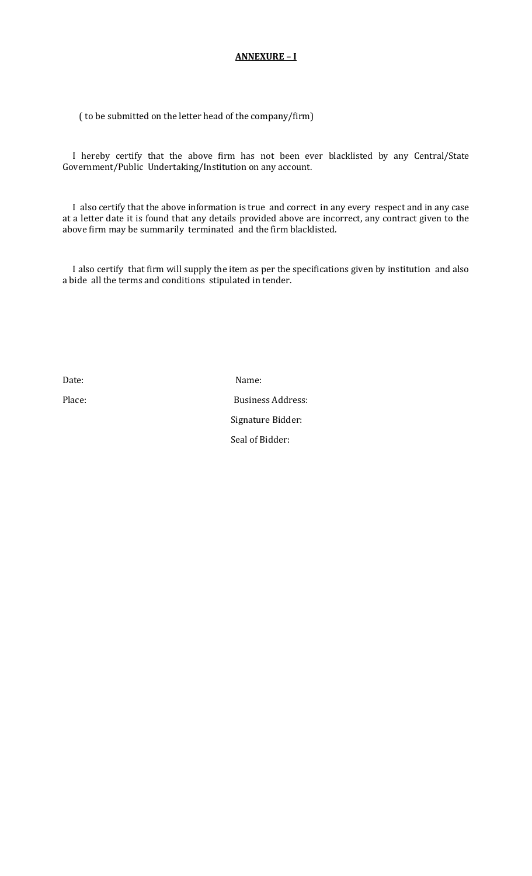#### **ANNEXURE – I**

( to be submitted on the letter head of the company/firm)

 I hereby certify that the above firm has not been ever blacklisted by any Central/State Government/Public Undertaking/Institution on any account.

 I also certify that the above information is true and correct in any every respect and in any case at a letter date it is found that any details provided above are incorrect, any contract given to the above firm may be summarily terminated and the firm blacklisted.

 I also certify that firm will supply the item as per the specifications given by institution and also a bide all the terms and conditions stipulated in tender.

Date: Name:

Place: Business Address: Signature Bidder: Seal of Bidder: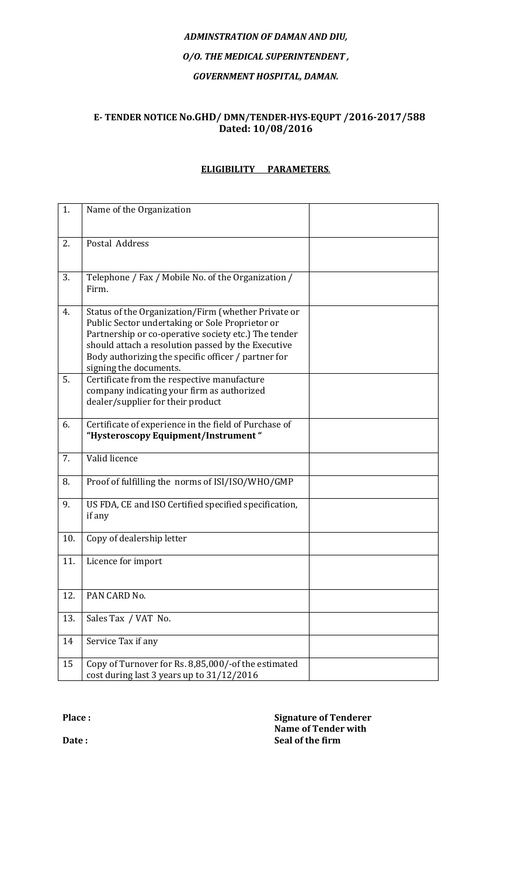# *ADMINSTRATION OF DAMAN AND DIU, O/O. THE MEDICAL SUPERINTENDENT , GOVERNMENT HOSPITAL, DAMAN.*

#### **E- TENDER NOTICE No.GHD/ DMN/TENDER-HYS-EQUPT /2016-2017/588 Dated: 10/08/2016**

## **ELIGIBILITY PARAMETERS**.

| 1.  | Name of the Organization                                                                                                                                                                                                                                                                              |  |
|-----|-------------------------------------------------------------------------------------------------------------------------------------------------------------------------------------------------------------------------------------------------------------------------------------------------------|--|
| 2.  | Postal Address                                                                                                                                                                                                                                                                                        |  |
| 3.  | Telephone / Fax / Mobile No. of the Organization /<br>Firm.                                                                                                                                                                                                                                           |  |
| 4.  | Status of the Organization/Firm (whether Private or<br>Public Sector undertaking or Sole Proprietor or<br>Partnership or co-operative society etc.) The tender<br>should attach a resolution passed by the Executive<br>Body authorizing the specific officer / partner for<br>signing the documents. |  |
| 5.  | Certificate from the respective manufacture<br>company indicating your firm as authorized<br>dealer/supplier for their product                                                                                                                                                                        |  |
| 6.  | Certificate of experience in the field of Purchase of<br>"Hysteroscopy Equipment/Instrument"                                                                                                                                                                                                          |  |
| 7.  | Valid licence                                                                                                                                                                                                                                                                                         |  |
| 8.  | Proof of fulfilling the norms of ISI/ISO/WHO/GMP                                                                                                                                                                                                                                                      |  |
| 9.  | US FDA, CE and ISO Certified specified specification,<br>if any                                                                                                                                                                                                                                       |  |
| 10. | Copy of dealership letter                                                                                                                                                                                                                                                                             |  |
| 11. | Licence for import                                                                                                                                                                                                                                                                                    |  |
| 12. | PAN CARD No.                                                                                                                                                                                                                                                                                          |  |
| 13. | Sales Tax / VAT No.                                                                                                                                                                                                                                                                                   |  |
| 14  | Service Tax if any                                                                                                                                                                                                                                                                                    |  |
| 15  | Copy of Turnover for Rs. 8,85,000/-of the estimated<br>cost during last 3 years up to 31/12/2016                                                                                                                                                                                                      |  |

**Place :** 

**Signature of Tenderer Name of Tender with Seal of the firm** 

**Date :**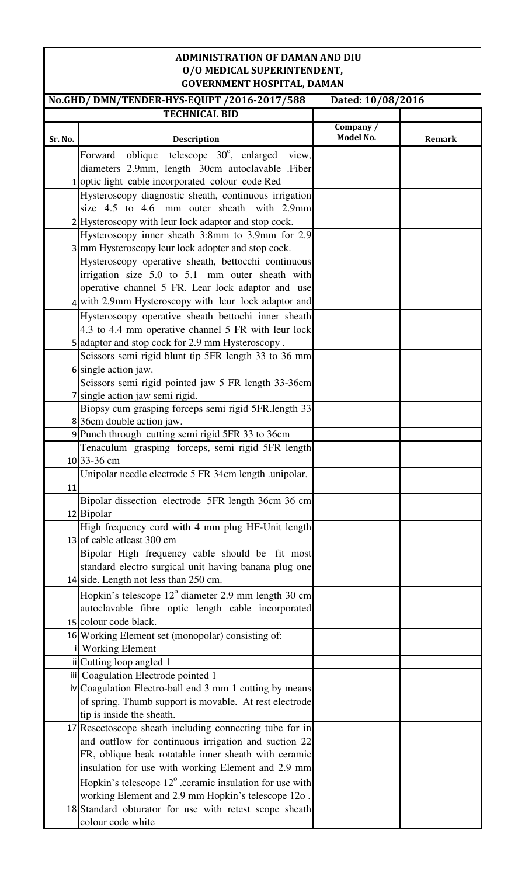### **ADMINISTRATION OF DAMAN AND DIU O/O MEDICAL SUPERINTENDENT, GOVERNMENT HOSPITAL, DAMAN**

|         |                                                                                                                 |           | Dated: 10/08/2016 |
|---------|-----------------------------------------------------------------------------------------------------------------|-----------|-------------------|
|         | <b>TECHNICAL BID</b>                                                                                            |           |                   |
|         |                                                                                                                 | Company / |                   |
| Sr. No. | <b>Description</b>                                                                                              | Model No. | <b>Remark</b>     |
|         | oblique telescope $30^\circ$ , enlarged<br>Forward<br>view,                                                     |           |                   |
|         | diameters 2.9mm, length 30cm autoclavable .Fiber                                                                |           |                   |
|         | 1 optic light cable incorporated colour code Red                                                                |           |                   |
|         | Hysteroscopy diagnostic sheath, continuous irrigation                                                           |           |                   |
|         | size 4.5 to 4.6 mm outer sheath with 2.9mm                                                                      |           |                   |
|         | 2 Hysteroscopy with leur lock adaptor and stop cock.                                                            |           |                   |
|         | Hysteroscopy inner sheath 3:8mm to 3.9mm for 2.9                                                                |           |                   |
|         | 3 mm Hysteroscopy leur lock adopter and stop cock.                                                              |           |                   |
|         | Hysteroscopy operative sheath, bettocchi continuous                                                             |           |                   |
|         | irrigation size 5.0 to 5.1 mm outer sheath with                                                                 |           |                   |
|         | operative channel 5 FR. Lear lock adaptor and use                                                               |           |                   |
|         | 4 with 2.9mm Hysteroscopy with leur lock adaptor and                                                            |           |                   |
|         | Hysteroscopy operative sheath bettochi inner sheath                                                             |           |                   |
|         | 4.3 to 4.4 mm operative channel 5 FR with leur lock                                                             |           |                   |
|         | 5 adaptor and stop cock for 2.9 mm Hysteroscopy.                                                                |           |                   |
|         | Scissors semi rigid blunt tip 5FR length 33 to 36 mm                                                            |           |                   |
|         | 6 single action jaw.                                                                                            |           |                   |
|         | Scissors semi rigid pointed jaw 5 FR length 33-36cm                                                             |           |                   |
|         | 7 single action jaw semi rigid.                                                                                 |           |                   |
|         | Biopsy cum grasping forceps semi rigid 5FR.length 33<br>836cm double action jaw.                                |           |                   |
|         | 9 Punch through cutting semi rigid 5FR 33 to 36cm                                                               |           |                   |
|         | Tenaculum grasping forceps, semi rigid 5FR length                                                               |           |                   |
|         | 10 33-36 cm                                                                                                     |           |                   |
|         | Unipolar needle electrode 5 FR 34cm length .unipolar.                                                           |           |                   |
| 11      |                                                                                                                 |           |                   |
|         | Bipolar dissection electrode 5FR length 36cm 36 cm                                                              |           |                   |
|         | 12 Bipolar                                                                                                      |           |                   |
|         | High frequency cord with 4 mm plug HF-Unit length                                                               |           |                   |
|         | 13 of cable at east $300 \text{ cm}$                                                                            |           |                   |
|         | Bipolar High frequency cable should be fit most                                                                 |           |                   |
|         | standard electro surgical unit having banana plug one                                                           |           |                   |
|         | 14 side. Length not less than $250$ cm.                                                                         |           |                   |
|         | Hopkin's telescope $12^{\circ}$ diameter 2.9 mm length 30 cm                                                    |           |                   |
|         | autoclavable fibre optic length cable incorporated                                                              |           |                   |
|         | 15 colour code black.                                                                                           |           |                   |
|         | 16 Working Element set (monopolar) consisting of:                                                               |           |                   |
|         | <b>Working Element</b>                                                                                          |           |                   |
|         | ii Cutting loop angled 1                                                                                        |           |                   |
|         | iii Coagulation Electrode pointed 1                                                                             |           |                   |
|         | iv Coagulation Electro-ball end 3 mm 1 cutting by means                                                         |           |                   |
|         | of spring. Thumb support is movable. At rest electrode<br>tip is inside the sheath.                             |           |                   |
|         |                                                                                                                 |           |                   |
|         | 17 Resectoscope sheath including connecting tube for in<br>and outflow for continuous irrigation and suction 22 |           |                   |
|         | FR, oblique beak rotatable inner sheath with ceramic                                                            |           |                   |
|         | insulation for use with working Element and 2.9 mm                                                              |           |                   |
|         | Hopkin's telescope $12^{\circ}$ .ceramic insulation for use with                                                |           |                   |
|         | working Element and 2.9 mm Hopkin's telescope 12o.                                                              |           |                   |
|         | 18 Standard obturator for use with retest scope sheath                                                          |           |                   |
|         | colour code white                                                                                               |           |                   |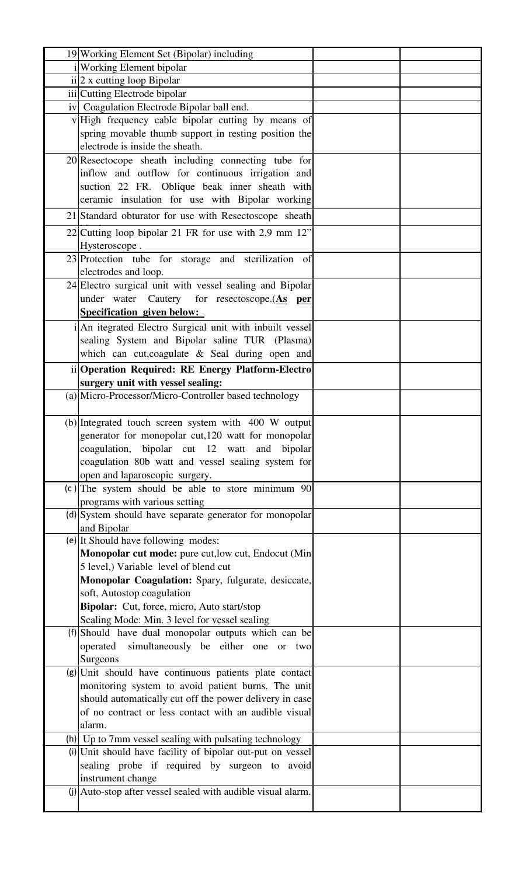| 19 Working Element Set (Bipolar) including                             |  |
|------------------------------------------------------------------------|--|
| Working Element bipolar                                                |  |
| ii 2 x cutting loop Bipolar                                            |  |
| iii Cutting Electrode bipolar                                          |  |
| iv Coagulation Electrode Bipolar ball end.                             |  |
| v High frequency cable bipolar cutting by means of                     |  |
| spring movable thumb support in resting position the                   |  |
| electrode is inside the sheath.                                        |  |
| 20 Resectocope sheath including connecting tube for                    |  |
| inflow and outflow for continuous irrigation and                       |  |
| suction 22 FR. Oblique beak inner sheath with                          |  |
| ceramic insulation for use with Bipolar working                        |  |
| 21 Standard obturator for use with Resectoscope sheath                 |  |
| 22 Cutting loop bipolar 21 FR for use with 2.9 mm $12$ "               |  |
| Hysteroscope.                                                          |  |
| 23 Protection tube for storage and sterilization of                    |  |
| electrodes and loop.                                                   |  |
| 24 Electro surgical unit with vessel sealing and Bipolar               |  |
| under water Cautery for resectoscope.(As per                           |  |
| <b>Specification given below:</b>                                      |  |
| An itegrated Electro Surgical unit with inbuilt vessel                 |  |
| sealing System and Bipolar saline TUR (Plasma)                         |  |
| which can cut, coagulate & Seal during open and                        |  |
|                                                                        |  |
| ii Operation Required: RE Energy Platform-Electro                      |  |
| surgery unit with vessel sealing:                                      |  |
| (a) Micro-Processor/Micro-Controller based technology                  |  |
| (b) Integrated touch screen system with 400 W output                   |  |
|                                                                        |  |
| generator for monopolar cut, 120 watt for monopolar                    |  |
| coagulation, bipolar cut 12 watt and<br>bipolar                        |  |
| coagulation 80b watt and vessel sealing system for                     |  |
| open and laparoscopic surgery.                                         |  |
| (c) The system should be able to store minimum 90                      |  |
| programs with various setting                                          |  |
| (d) System should have separate generator for monopolar<br>and Bipolar |  |
| (e) It Should have following modes:                                    |  |
| Monopolar cut mode: pure cut, low cut, Endocut (Min)                   |  |
| 5 level,) Variable level of blend cut                                  |  |
| Monopolar Coagulation: Spary, fulgurate, desiccate,                    |  |
| soft, Autostop coagulation                                             |  |
| Bipolar: Cut, force, micro, Auto start/stop                            |  |
| Sealing Mode: Min. 3 level for vessel sealing                          |  |
| (f) Should have dual monopolar outputs which can be                    |  |
| simultaneously be either one or two<br>operated                        |  |
| Surgeons                                                               |  |
| (g) Unit should have continuous patients plate contact                 |  |
| monitoring system to avoid patient burns. The unit                     |  |
| should automatically cut off the power delivery in case                |  |
| of no contract or less contact with an audible visual                  |  |
| alarm.                                                                 |  |
| (h) Up to 7mm vessel sealing with pulsating technology                 |  |
| (i) Unit should have facility of bipolar out-put on vessel             |  |
| sealing probe if required by surgeon to avoid                          |  |
| instrument change                                                      |  |
| (j) Auto-stop after vessel sealed with audible visual alarm.           |  |
|                                                                        |  |